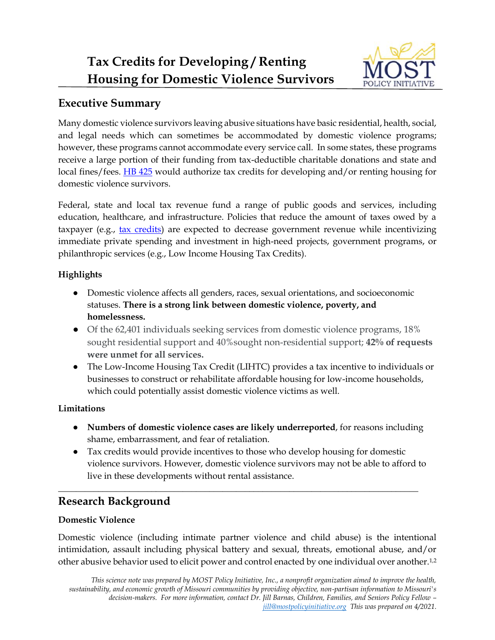

## **Executive Summary**

Many domestic violence survivors leaving abusive situations have basic residential, health, social, and legal needs which can sometimes be accommodated by domestic violence programs; however, these programs cannot accommodate every service call. In some states, these programs receive a large portion of their funding from tax-deductible charitable donations and state and local fines/fees. [HB 425](https://house.mo.gov/Bill.aspx?bill=HB425&year=2021&code=R) would authorize tax credits for developing and/or renting housing for domestic violence survivors.

Federal, state and local tax revenue fund a range of public goods and services, including education, healthcare, and infrastructure. Policies that reduce the amount of taxes owed by a taxpayer (e.g., [tax credits\)](https://mostpolicyinitiative.org/wp-content/uploads/2021/03/ScienceNote_TaxCredits.pdf) are expected to decrease government revenue while incentivizing immediate private spending and investment in high-need projects, government programs, or philanthropic services (e.g., Low Income Housing Tax Credits).

#### **Highlights**

- Domestic violence affects all genders, races, sexual orientations, and socioeconomic statuses. **There is a strong link between domestic violence, poverty, and homelessness.**
- Of the 62,401 individuals seeking services from domestic violence programs, 18% sought residential support and 40%sought non-residential support; **42% of requests were unmet for all services.**
- The Low-Income Housing Tax Credit (LIHTC) provides a tax incentive to individuals or businesses to construct or rehabilitate affordable housing for low-income households, which could potentially assist domestic violence victims as well.

### **Limitations**

- **Numbers of domestic violence cases are likely underreported**, for reasons including shame, embarrassment, and fear of retaliation.
- Tax credits would provide incentives to those who develop housing for domestic violence survivors. However, domestic violence survivors may not be able to afford to live in these developments without rental assistance.

**\_\_\_\_\_\_\_\_\_\_\_\_\_\_\_\_\_\_\_\_\_\_\_\_\_\_\_\_\_\_\_\_\_\_\_\_\_\_\_\_\_\_\_\_\_\_\_\_\_\_\_\_\_\_\_\_\_\_\_\_\_\_\_\_\_\_\_\_\_\_\_\_\_\_\_\_\_\_\_\_\_**

# **Research Background**

### **Domestic Violence**

Domestic violence (including intimate partner violence and child abuse) is the intentional intimidation, assault including physical battery and sexual, threats, emotional abuse, and/or other abusive behavior used to elicit power and control enacted by one individual over another.1,2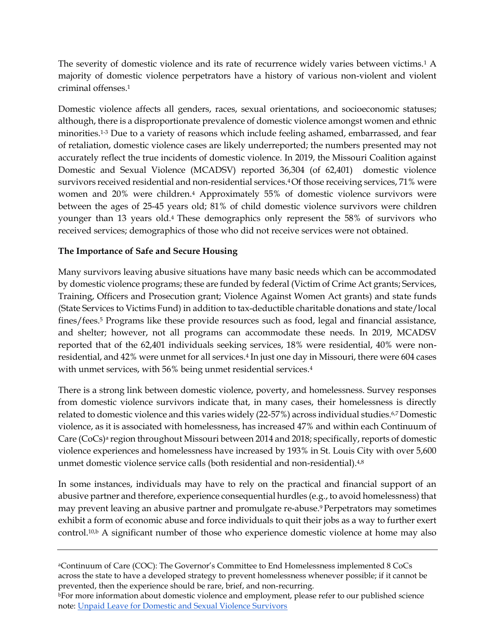The severity of domestic violence and its rate of recurrence widely varies between victims.<sup>1</sup> A majority of domestic violence perpetrators have a history of various non-violent and violent criminal offenses<sup>1</sup>

Domestic violence affects all genders, races, sexual orientations, and socioeconomic statuses; although, there is a disproportionate prevalence of domestic violence amongst women and ethnic minorities.1-3 Due to a variety of reasons which include feeling ashamed, embarrassed, and fear of retaliation, domestic violence cases are likely underreported; the numbers presented may not accurately reflect the true incidents of domestic violence. In 2019, the Missouri Coalition against Domestic and Sexual Violence (MCADSV) reported 36,304 (of 62,401) domestic violence survivors received residential and non-residential services.4 Of those receiving services, 71% were women and 20% were children.<sup>4</sup> Approximately 55% of domestic violence survivors were between the ages of 25-45 years old; 81% of child domestic violence survivors were children younger than 13 years old.4 These demographics only represent the 58% of survivors who received services; demographics of those who did not receive services were not obtained.

#### **The Importance of Safe and Secure Housing**

Many survivors leaving abusive situations have many basic needs which can be accommodated by domestic violence programs; these are funded by federal (Victim of Crime Act grants; Services, Training, Officers and Prosecution grant; Violence Against Women Act grants) and state funds (State Services to Victims Fund) in addition to tax-deductible charitable donations and state/local fines/fees.<sup>5</sup> Programs like these provide resources such as food, legal and financial assistance, and shelter; however, not all programs can accommodate these needs. In 2019, MCADSV reported that of the 62,401 individuals seeking services, 18% were residential, 40% were nonresidential, and 42% were unmet for all services.<sup>4</sup> In just one day in Missouri, there were 604 cases with unmet services, with 56% being unmet residential services.<sup>4</sup>

There is a strong link between domestic violence, poverty, and homelessness. Survey responses from domestic violence survivors indicate that, in many cases, their homelessness is directly related to domestic violence and this varies widely (22-57%) across individual studies.6,7 Domestic violence, as it is associated with homelessness, has increased 47% and within each Continuum of Care (CoCs) <sup>a</sup> region throughout Missouri between 2014 and 2018; specifically, reports of domestic violence experiences and homelessness have increased by 193% in St. Louis City with over 5,600 unmet domestic violence service calls (both residential and non-residential).<sup>4,8</sup>

In some instances, individuals may have to rely on the practical and financial support of an abusive partner and therefore, experience consequential hurdles (e.g., to avoid homelessness) that may prevent leaving an abusive partner and promulgate re-abuse.9 Perpetrators may sometimes exhibit a form of economic abuse and force individuals to quit their jobs as a way to further exert control.<sup>10,b</sup> A significant number of those who experience domestic violence at home may also

<sup>a</sup>Continuum of Care (COC): The Governor's Committee to End Homelessness implemented 8 CoCs across the state to have a developed strategy to prevent homelessness whenever possible; if it cannot be prevented, then the experience should be rare, brief, and non-recurring.

<sup>b</sup>For more information about domestic violence and employment, please refer to our published science note: [Unpaid Leave for Domestic and Sexual Violence Survivors](https://mostpolicyinitiative.org/wp-content/uploads/2021/01/Unpaid_Leave_for_Survivors_of_Sexual_Abuse.pdf)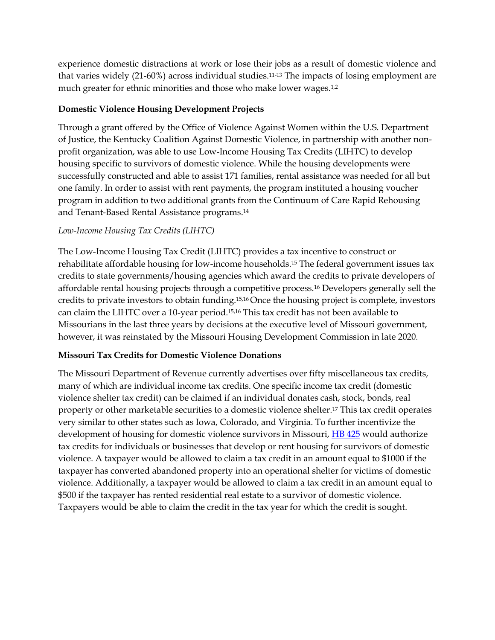experience domestic distractions at work or lose their jobs as a result of domestic violence and that varies widely (21-60%) across individual studies.11-13 The impacts of losing employment are much greater for ethnic minorities and those who make lower wages.<sup>1,2</sup>

#### **Domestic Violence Housing Development Projects**

Through a grant offered by the Office of Violence Against Women within the U.S. Department of Justice, the Kentucky Coalition Against Domestic Violence, in partnership with another nonprofit organization, was able to use Low-Income Housing Tax Credits (LIHTC) to develop housing specific to survivors of domestic violence. While the housing developments were successfully constructed and able to assist 171 families, rental assistance was needed for all but one family. In order to assist with rent payments, the program instituted a housing voucher program in addition to two additional grants from the Continuum of Care Rapid Rehousing and Tenant-Based Rental Assistance programs.<sup>14</sup>

#### *Low-Income Housing Tax Credits (LIHTC)*

The Low-Income Housing Tax Credit (LIHTC) provides a tax incentive to construct or rehabilitate affordable housing for low-income households.<sup>15</sup> The federal government issues tax credits to state governments/housing agencies which award the credits to private developers of affordable rental housing projects through a competitive process.<sup>16</sup> Developers generally sell the credits to private investors to obtain funding.15,16 Once the housing project is complete, investors can claim the LIHTC over a 10-year period.15,16 This tax credit has not been available to Missourians in the last three years by decisions at the executive level of Missouri government, however, it was reinstated by the Missouri Housing Development Commission in late 2020.

#### **Missouri Tax Credits for Domestic Violence Donations**

The Missouri Department of Revenue currently advertises over fifty miscellaneous tax credits, many of which are individual income tax credits. One specific income tax credit (domestic violence shelter tax credit) can be claimed if an individual donates cash, stock, bonds, real property or other marketable securities to a domestic violence shelter.<sup>17</sup> This tax credit operates very similar to other states such as Iowa, Colorado, and Virginia. To further incentivize the development of housing for domestic violence survivors in Missouri, [HB 425](https://house.mo.gov/Bill.aspx?bill=HB425&year=2021&code=R) would authorize tax credits for individuals or businesses that develop or rent housing for survivors of domestic violence. A taxpayer would be allowed to claim a tax credit in an amount equal to \$1000 if the taxpayer has converted abandoned property into an operational shelter for victims of domestic violence. Additionally, a taxpayer would be allowed to claim a tax credit in an amount equal to \$500 if the taxpayer has rented residential real estate to a survivor of domestic violence. Taxpayers would be able to claim the credit in the tax year for which the credit is sought.